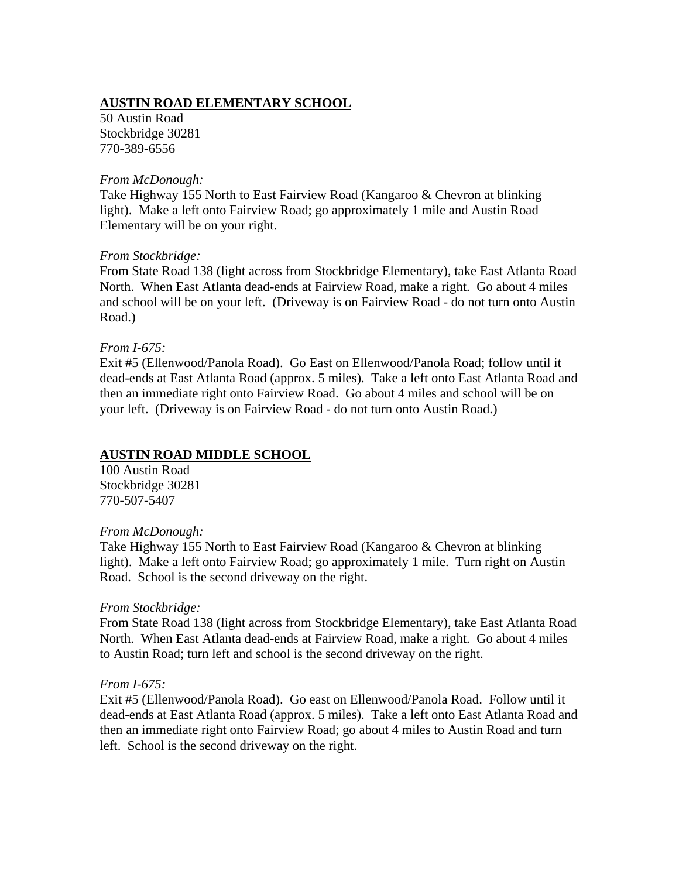# **AUSTIN ROAD ELEMENTARY SCHOOL**

50 Austin Road Stockbridge 30281 770-389-6556

#### *From McDonough:*

Take Highway 155 North to East Fairview Road (Kangaroo & Chevron at blinking light). Make a left onto Fairview Road; go approximately 1 mile and Austin Road Elementary will be on your right.

#### *From Stockbridge:*

From State Road 138 (light across from Stockbridge Elementary), take East Atlanta Road North. When East Atlanta dead-ends at Fairview Road, make a right. Go about 4 miles and school will be on your left. (Driveway is on Fairview Road - do not turn onto Austin Road.)

### *From I-675:*

Exit #5 (Ellenwood/Panola Road). Go East on Ellenwood/Panola Road; follow until it dead-ends at East Atlanta Road (approx. 5 miles). Take a left onto East Atlanta Road and then an immediate right onto Fairview Road. Go about 4 miles and school will be on your left. (Driveway is on Fairview Road - do not turn onto Austin Road.)

### **AUSTIN ROAD MIDDLE SCHOOL**

100 Austin Road Stockbridge 30281 770-507-5407

### *From McDonough:*

Take Highway 155 North to East Fairview Road (Kangaroo & Chevron at blinking light). Make a left onto Fairview Road; go approximately 1 mile. Turn right on Austin Road. School is the second driveway on the right.

### *From Stockbridge:*

From State Road 138 (light across from Stockbridge Elementary), take East Atlanta Road North. When East Atlanta dead-ends at Fairview Road, make a right. Go about 4 miles to Austin Road; turn left and school is the second driveway on the right.

### *From I-675:*

Exit #5 (Ellenwood/Panola Road). Go east on Ellenwood/Panola Road. Follow until it dead-ends at East Atlanta Road (approx. 5 miles). Take a left onto East Atlanta Road and then an immediate right onto Fairview Road; go about 4 miles to Austin Road and turn left. School is the second driveway on the right.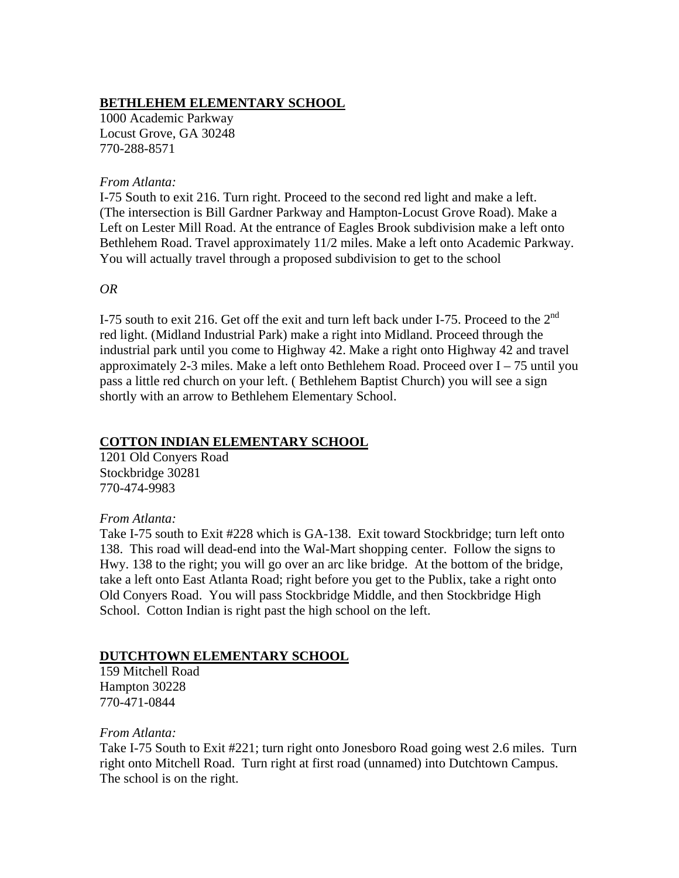## **BETHLEHEM ELEMENTARY SCHOOL**

1000 Academic Parkway Locust Grove, GA 30248 770-288-8571

#### *From Atlanta:*

I-75 South to exit 216. Turn right. Proceed to the second red light and make a left. (The intersection is Bill Gardner Parkway and Hampton-Locust Grove Road). Make a Left on Lester Mill Road. At the entrance of Eagles Brook subdivision make a left onto Bethlehem Road. Travel approximately 11/2 miles. Make a left onto Academic Parkway. You will actually travel through a proposed subdivision to get to the school

*OR* 

I-75 south to exit 216. Get off the exit and turn left back under I-75. Proceed to the 2<sup>nd</sup> red light. (Midland Industrial Park) make a right into Midland. Proceed through the industrial park until you come to Highway 42. Make a right onto Highway 42 and travel approximately 2-3 miles. Make a left onto Bethlehem Road. Proceed over  $I - 75$  until you pass a little red church on your left. ( Bethlehem Baptist Church) you will see a sign shortly with an arrow to Bethlehem Elementary School.

## **COTTON INDIAN ELEMENTARY SCHOOL**

1201 Old Conyers Road Stockbridge 30281 770-474-9983

### *From Atlanta:*

Take I-75 south to Exit #228 which is GA-138. Exit toward Stockbridge; turn left onto 138. This road will dead-end into the Wal-Mart shopping center. Follow the signs to Hwy. 138 to the right; you will go over an arc like bridge. At the bottom of the bridge, take a left onto East Atlanta Road; right before you get to the Publix, take a right onto Old Conyers Road. You will pass Stockbridge Middle, and then Stockbridge High School. Cotton Indian is right past the high school on the left.

### **DUTCHTOWN ELEMENTARY SCHOOL**

159 Mitchell Road Hampton 30228 770-471-0844

*From Atlanta:* 

Take I-75 South to Exit #221; turn right onto Jonesboro Road going west 2.6 miles. Turn right onto Mitchell Road. Turn right at first road (unnamed) into Dutchtown Campus. The school is on the right.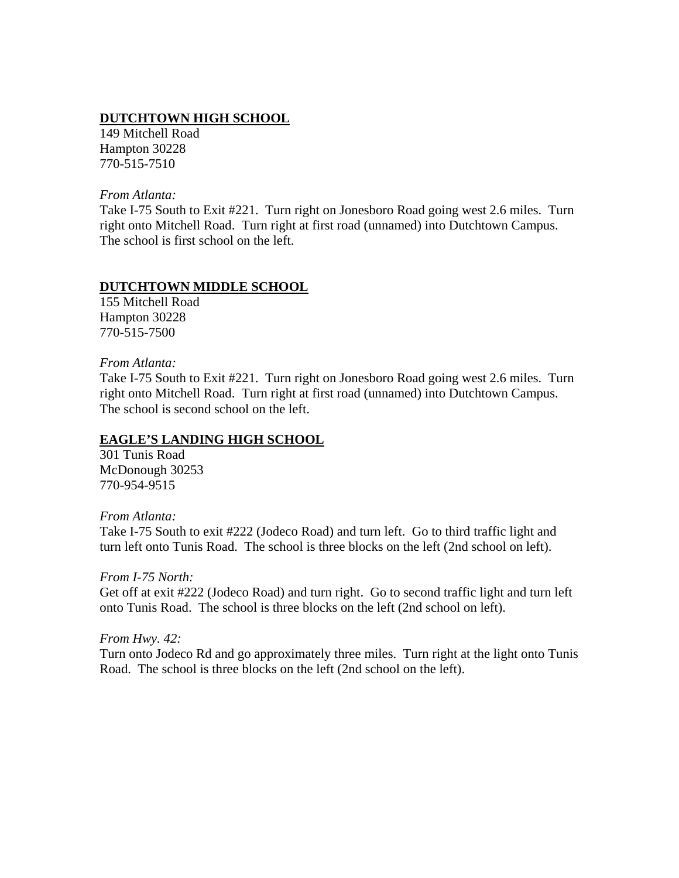## **DUTCHTOWN HIGH SCHOOL**

149 Mitchell Road Hampton 30228 770-515-7510

*From Atlanta:* 

Take I-75 South to Exit #221. Turn right on Jonesboro Road going west 2.6 miles. Turn right onto Mitchell Road. Turn right at first road (unnamed) into Dutchtown Campus. The school is first school on the left.

### **DUTCHTOWN MIDDLE SCHOOL**

155 Mitchell Road Hampton 30228 770-515-7500

### *From Atlanta:*

Take I-75 South to Exit #221. Turn right on Jonesboro Road going west 2.6 miles. Turn right onto Mitchell Road. Turn right at first road (unnamed) into Dutchtown Campus. The school is second school on the left.

## **EAGLE'S LANDING HIGH SCHOOL**

301 Tunis Road McDonough 30253 770-954-9515

*From Atlanta:* 

Take I-75 South to exit #222 (Jodeco Road) and turn left. Go to third traffic light and turn left onto Tunis Road. The school is three blocks on the left (2nd school on left).

*From I-75 North:*  Get off at exit #222 (Jodeco Road) and turn right. Go to second traffic light and turn left onto Tunis Road. The school is three blocks on the left (2nd school on left).

*From Hwy. 42:* 

Turn onto Jodeco Rd and go approximately three miles. Turn right at the light onto Tunis Road. The school is three blocks on the left (2nd school on the left).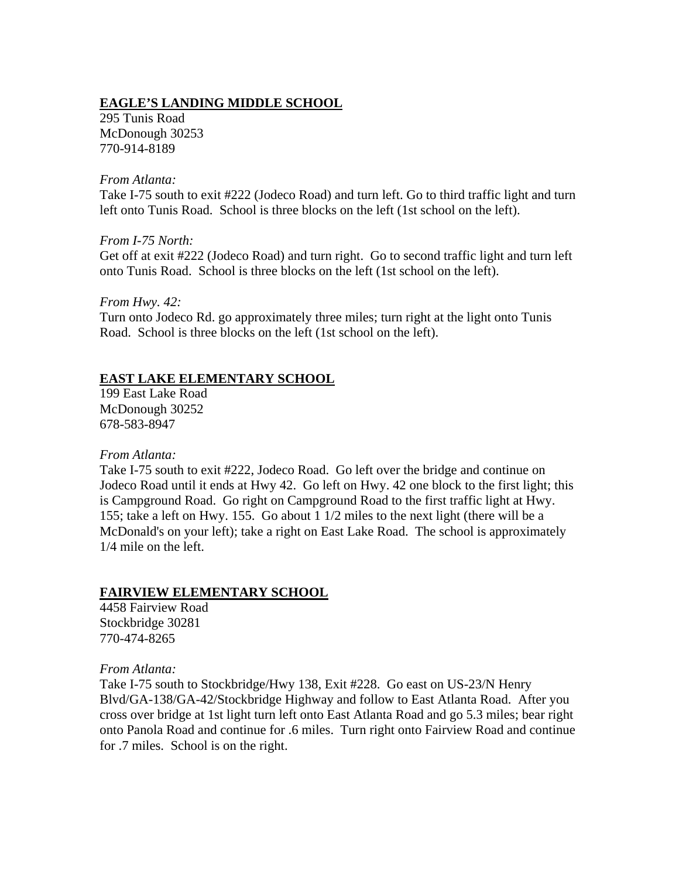## **EAGLE'S LANDING MIDDLE SCHOOL**

295 Tunis Road McDonough 30253 770-914-8189

#### *From Atlanta:*

Take I-75 south to exit #222 (Jodeco Road) and turn left. Go to third traffic light and turn left onto Tunis Road. School is three blocks on the left (1st school on the left).

### *From I-75 North:*

Get off at exit #222 (Jodeco Road) and turn right. Go to second traffic light and turn left onto Tunis Road. School is three blocks on the left (1st school on the left).

### *From Hwy. 42:*

Turn onto Jodeco Rd. go approximately three miles; turn right at the light onto Tunis Road. School is three blocks on the left (1st school on the left).

# **EAST LAKE ELEMENTARY SCHOOL**

199 East Lake Road McDonough 30252 678-583-8947

### *From Atlanta:*

Take I-75 south to exit #222, Jodeco Road. Go left over the bridge and continue on Jodeco Road until it ends at Hwy 42. Go left on Hwy. 42 one block to the first light; this is Campground Road. Go right on Campground Road to the first traffic light at Hwy. 155; take a left on Hwy. 155. Go about 1 1/2 miles to the next light (there will be a McDonald's on your left); take a right on East Lake Road. The school is approximately 1/4 mile on the left.

### **FAIRVIEW ELEMENTARY SCHOOL**

4458 Fairview Road Stockbridge 30281 770-474-8265

### *From Atlanta:*

Take I-75 south to Stockbridge/Hwy 138, Exit #228. Go east on US-23/N Henry Blvd/GA-138/GA-42/Stockbridge Highway and follow to East Atlanta Road. After you cross over bridge at 1st light turn left onto East Atlanta Road and go 5.3 miles; bear right onto Panola Road and continue for .6 miles. Turn right onto Fairview Road and continue for .7 miles. School is on the right.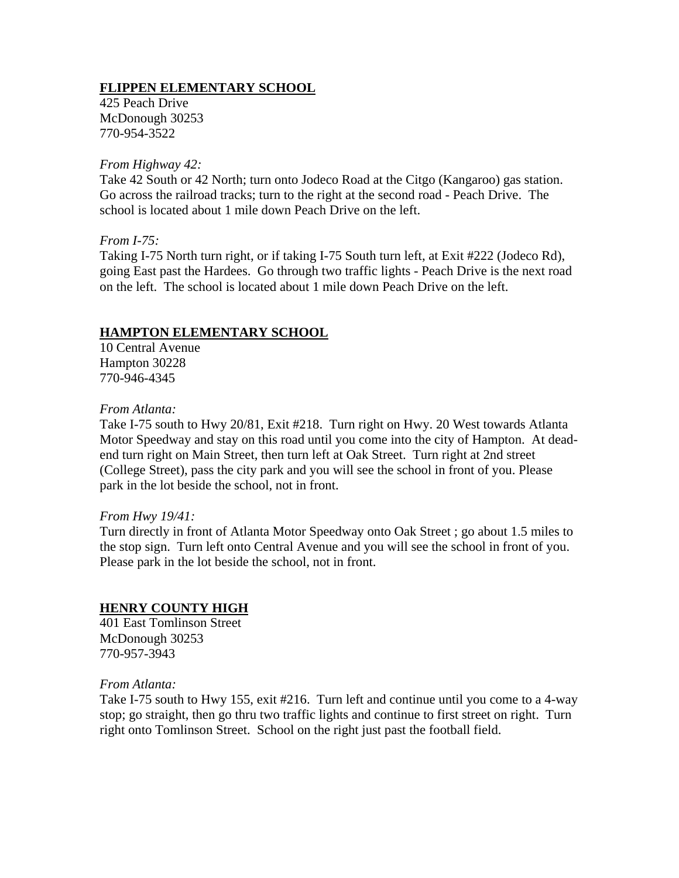## **FLIPPEN ELEMENTARY SCHOOL**

425 Peach Drive McDonough 30253 770-954-3522

#### *From Highway 42:*

Take 42 South or 42 North; turn onto Jodeco Road at the Citgo (Kangaroo) gas station. Go across the railroad tracks; turn to the right at the second road - Peach Drive. The school is located about 1 mile down Peach Drive on the left.

### *From I-75:*

Taking I-75 North turn right, or if taking I-75 South turn left, at Exit #222 (Jodeco Rd), going East past the Hardees. Go through two traffic lights - Peach Drive is the next road on the left. The school is located about 1 mile down Peach Drive on the left.

### **HAMPTON ELEMENTARY SCHOOL**

10 Central Avenue Hampton 30228 770-946-4345

#### *From Atlanta:*

Take I-75 south to Hwy 20/81, Exit #218. Turn right on Hwy. 20 West towards Atlanta Motor Speedway and stay on this road until you come into the city of Hampton. At deadend turn right on Main Street, then turn left at Oak Street. Turn right at 2nd street (College Street), pass the city park and you will see the school in front of you. Please park in the lot beside the school, not in front.

#### *From Hwy 19/41:*

Turn directly in front of Atlanta Motor Speedway onto Oak Street ; go about 1.5 miles to the stop sign. Turn left onto Central Avenue and you will see the school in front of you. Please park in the lot beside the school, not in front.

### **HENRY COUNTY HIGH**

401 East Tomlinson Street McDonough 30253 770-957-3943

#### *From Atlanta:*

Take I-75 south to Hwy 155, exit #216. Turn left and continue until you come to a 4-way stop; go straight, then go thru two traffic lights and continue to first street on right. Turn right onto Tomlinson Street. School on the right just past the football field.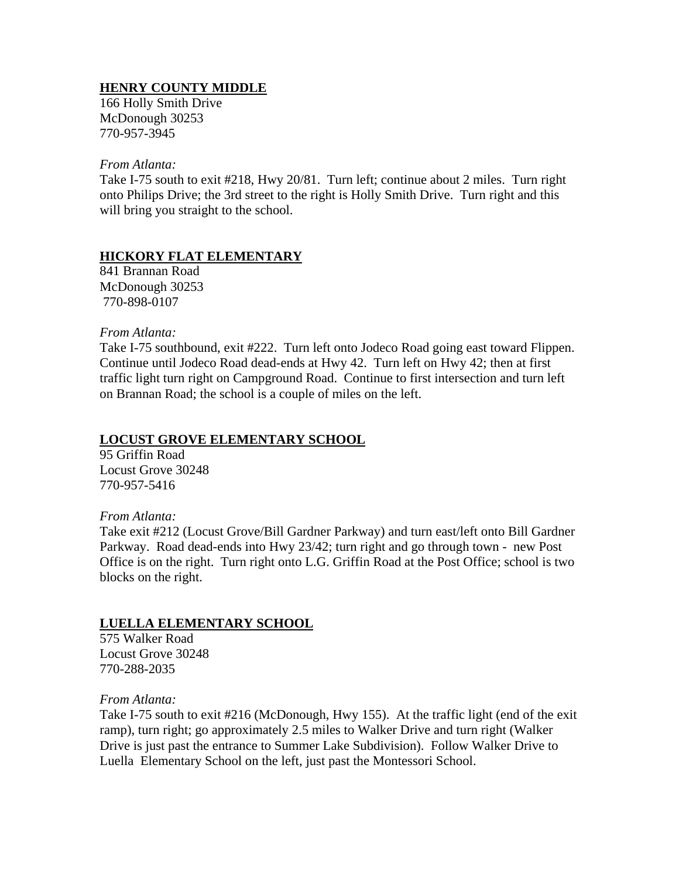## **HENRY COUNTY MIDDLE**

166 Holly Smith Drive McDonough 30253 770-957-3945

*From Atlanta:* 

Take I-75 south to exit #218, Hwy 20/81. Turn left; continue about 2 miles. Turn right onto Philips Drive; the 3rd street to the right is Holly Smith Drive. Turn right and this will bring you straight to the school.

### **HICKORY FLAT ELEMENTARY**

841 Brannan Road McDonough 30253 770-898-0107

*From Atlanta:*

Take I-75 southbound, exit #222. Turn left onto Jodeco Road going east toward Flippen. Continue until Jodeco Road dead-ends at Hwy 42. Turn left on Hwy 42; then at first traffic light turn right on Campground Road. Continue to first intersection and turn left on Brannan Road; the school is a couple of miles on the left.

## **LOCUST GROVE ELEMENTARY SCHOOL**

95 Griffin Road Locust Grove 30248 770-957-5416

### *From Atlanta:*

Take exit #212 (Locust Grove/Bill Gardner Parkway) and turn east/left onto Bill Gardner Parkway. Road dead-ends into Hwy 23/42; turn right and go through town - new Post Office is on the right. Turn right onto L.G. Griffin Road at the Post Office; school is two blocks on the right.

## **LUELLA ELEMENTARY SCHOOL**

575 Walker Road Locust Grove 30248 770-288-2035

*From Atlanta:* 

Take I-75 south to exit #216 (McDonough, Hwy 155). At the traffic light (end of the exit ramp), turn right; go approximately 2.5 miles to Walker Drive and turn right (Walker Drive is just past the entrance to Summer Lake Subdivision). Follow Walker Drive to Luella Elementary School on the left, just past the Montessori School.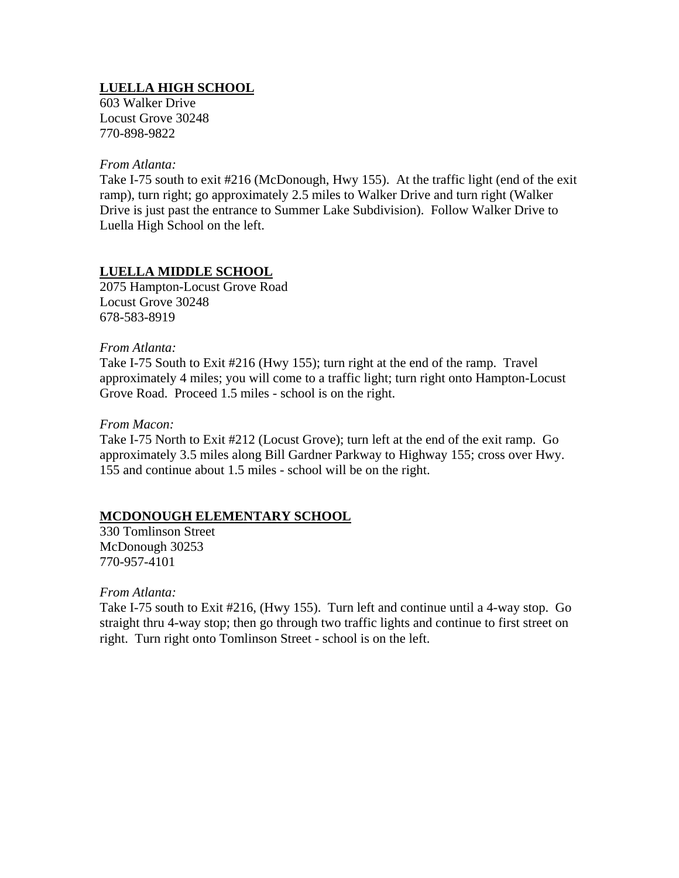# **LUELLA HIGH SCHOOL**

603 Walker Drive Locust Grove 30248 770-898-9822

*From Atlanta:* 

Take I-75 south to exit #216 (McDonough, Hwy 155). At the traffic light (end of the exit ramp), turn right; go approximately 2.5 miles to Walker Drive and turn right (Walker Drive is just past the entrance to Summer Lake Subdivision). Follow Walker Drive to Luella High School on the left.

# **LUELLA MIDDLE SCHOOL**

2075 Hampton-Locust Grove Road Locust Grove 30248 678-583-8919

### *From Atlanta:*

Take I-75 South to Exit #216 (Hwy 155); turn right at the end of the ramp. Travel approximately 4 miles; you will come to a traffic light; turn right onto Hampton-Locust Grove Road. Proceed 1.5 miles - school is on the right.

### *From Macon:*

Take I-75 North to Exit #212 (Locust Grove); turn left at the end of the exit ramp. Go approximately 3.5 miles along Bill Gardner Parkway to Highway 155; cross over Hwy. 155 and continue about 1.5 miles - school will be on the right.

## **MCDONOUGH ELEMENTARY SCHOOL**

330 Tomlinson Street McDonough 30253 770-957-4101

*From Atlanta:* 

Take I-75 south to Exit #216, (Hwy 155). Turn left and continue until a 4-way stop. Go straight thru 4-way stop; then go through two traffic lights and continue to first street on right. Turn right onto Tomlinson Street - school is on the left.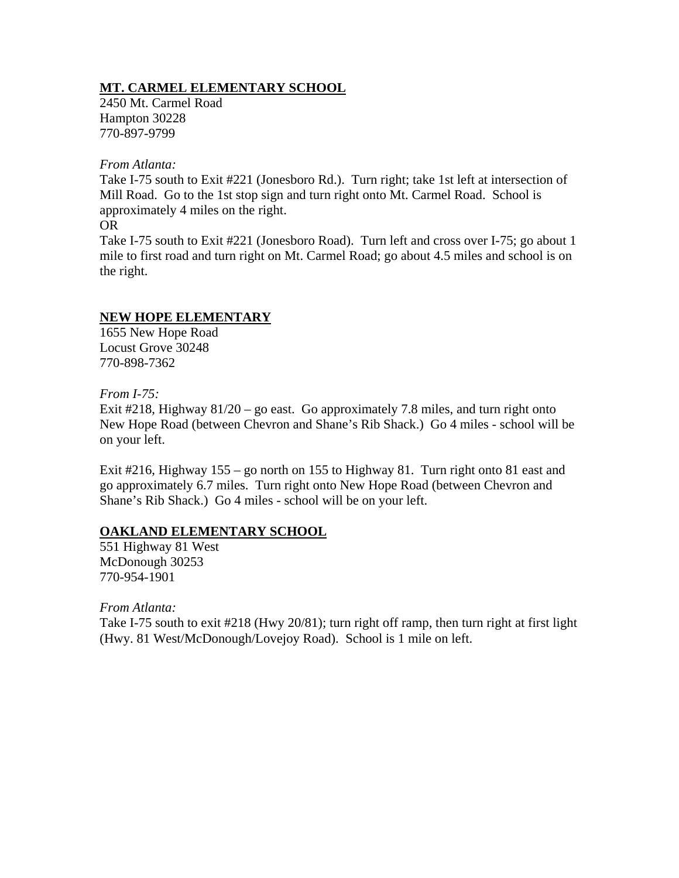## **MT. CARMEL ELEMENTARY SCHOOL**

2450 Mt. Carmel Road Hampton 30228 770-897-9799

#### *From Atlanta:*

Take I-75 south to Exit #221 (Jonesboro Rd.). Turn right; take 1st left at intersection of Mill Road. Go to the 1st stop sign and turn right onto Mt. Carmel Road. School is approximately 4 miles on the right.

#### OR

Take I-75 south to Exit #221 (Jonesboro Road). Turn left and cross over I-75; go about 1 mile to first road and turn right on Mt. Carmel Road; go about 4.5 miles and school is on the right.

### **NEW HOPE ELEMENTARY**

1655 New Hope Road Locust Grove 30248 770-898-7362

### *From I-75:*

Exit #218, Highway  $81/20 -$  go east. Go approximately 7.8 miles, and turn right onto New Hope Road (between Chevron and Shane's Rib Shack.) Go 4 miles - school will be on your left.

Exit #216, Highway 155 – go north on 155 to Highway 81. Turn right onto 81 east and go approximately 6.7 miles. Turn right onto New Hope Road (between Chevron and Shane's Rib Shack.) Go 4 miles - school will be on your left.

## **OAKLAND ELEMENTARY SCHOOL**

551 Highway 81 West McDonough 30253 770-954-1901

*From Atlanta:* 

Take I-75 south to exit #218 (Hwy 20/81); turn right off ramp, then turn right at first light (Hwy. 81 West/McDonough/Lovejoy Road). School is 1 mile on left.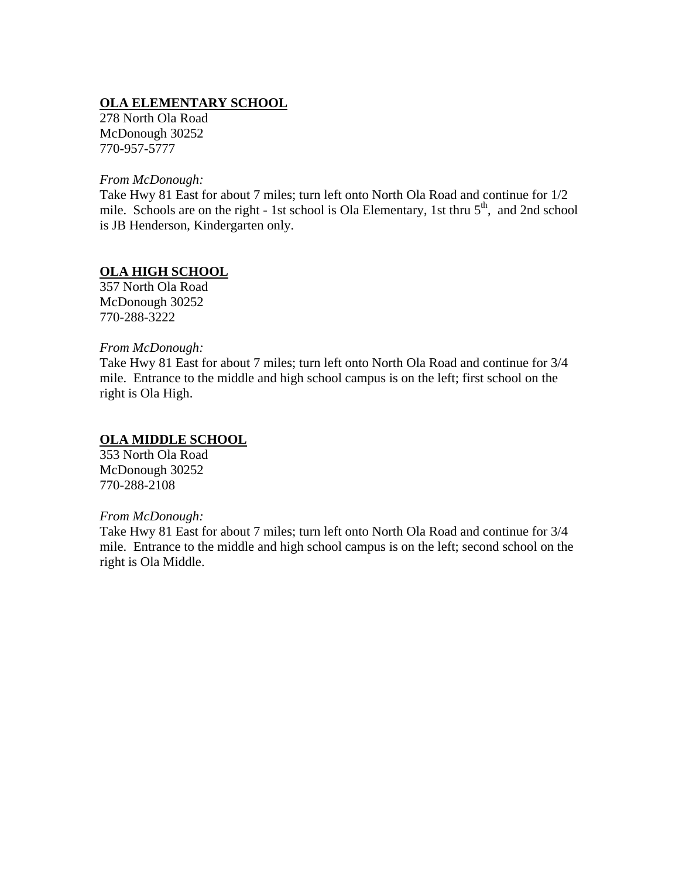# **OLA ELEMENTARY SCHOOL**

278 North Ola Road McDonough 30252 770-957-5777

*From McDonough:* 

Take Hwy 81 East for about 7 miles; turn left onto North Ola Road and continue for 1/2 mile. Schools are on the right - 1st school is Ola Elementary, 1st thru  $5<sup>th</sup>$ , and 2nd school is JB Henderson, Kindergarten only.

# **OLA HIGH SCHOOL**

357 North Ola Road McDonough 30252 770-288-3222

### *From McDonough:*

Take Hwy 81 East for about 7 miles; turn left onto North Ola Road and continue for 3/4 mile. Entrance to the middle and high school campus is on the left; first school on the right is Ola High.

## **OLA MIDDLE SCHOOL**

353 North Ola Road McDonough 30252 770-288-2108

### *From McDonough:*

Take Hwy 81 East for about 7 miles; turn left onto North Ola Road and continue for 3/4 mile. Entrance to the middle and high school campus is on the left; second school on the right is Ola Middle.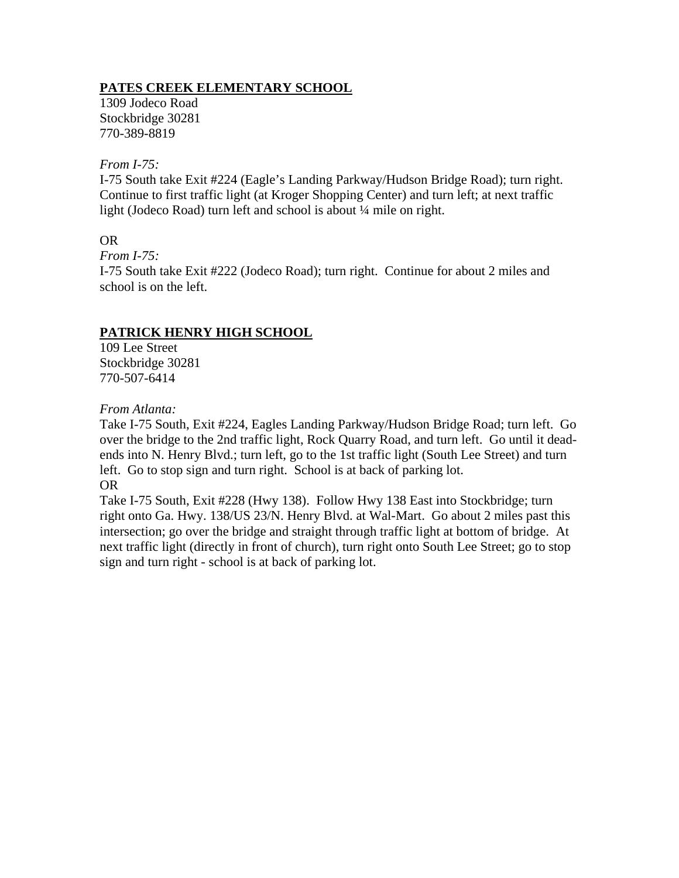## **PATES CREEK ELEMENTARY SCHOOL**

1309 Jodeco Road Stockbridge 30281 770-389-8819

### *From I-75:*

I-75 South take Exit #224 (Eagle's Landing Parkway/Hudson Bridge Road); turn right. Continue to first traffic light (at Kroger Shopping Center) and turn left; at next traffic light (Jodeco Road) turn left and school is about  $\frac{1}{4}$  mile on right.

## OR

*From I-75:* 

I-75 South take Exit #222 (Jodeco Road); turn right. Continue for about 2 miles and school is on the left.

# **PATRICK HENRY HIGH SCHOOL**

109 Lee Street Stockbridge 30281 770-507-6414

*From Atlanta:* 

Take I-75 South, Exit #224, Eagles Landing Parkway/Hudson Bridge Road; turn left. Go over the bridge to the 2nd traffic light, Rock Quarry Road, and turn left. Go until it deadends into N. Henry Blvd.; turn left, go to the 1st traffic light (South Lee Street) and turn left. Go to stop sign and turn right. School is at back of parking lot. OR

Take I-75 South, Exit #228 (Hwy 138). Follow Hwy 138 East into Stockbridge; turn right onto Ga. Hwy. 138/US 23/N. Henry Blvd. at Wal-Mart. Go about 2 miles past this intersection; go over the bridge and straight through traffic light at bottom of bridge. At next traffic light (directly in front of church), turn right onto South Lee Street; go to stop sign and turn right - school is at back of parking lot.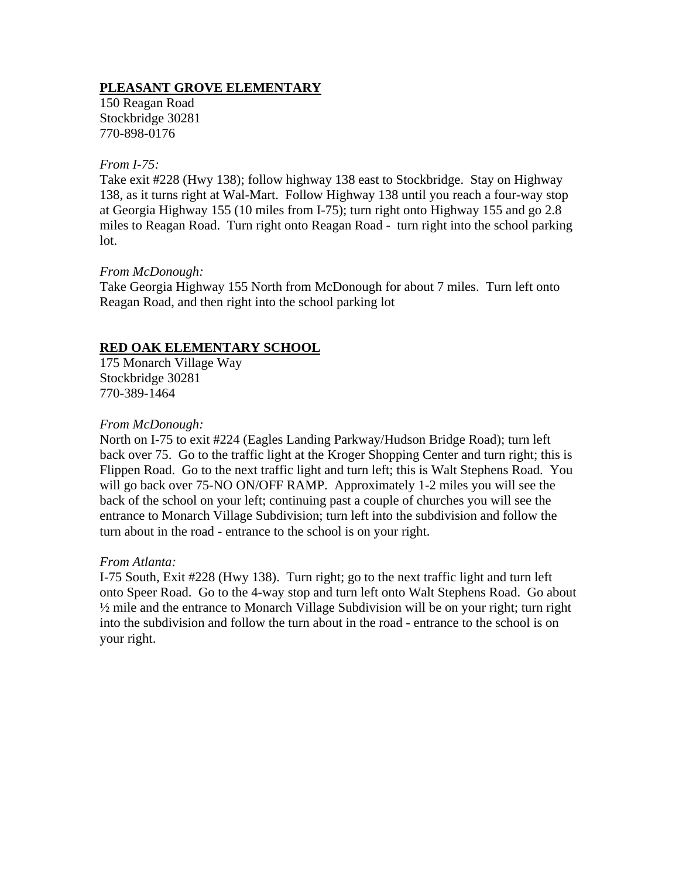### **PLEASANT GROVE ELEMENTARY**

150 Reagan Road Stockbridge 30281 770-898-0176

### *From I-75:*

Take exit #228 (Hwy 138); follow highway 138 east to Stockbridge. Stay on Highway 138, as it turns right at Wal-Mart. Follow Highway 138 until you reach a four-way stop at Georgia Highway 155 (10 miles from I-75); turn right onto Highway 155 and go 2.8 miles to Reagan Road. Turn right onto Reagan Road - turn right into the school parking lot.

### *From McDonough:*

Take Georgia Highway 155 North from McDonough for about 7 miles. Turn left onto Reagan Road, and then right into the school parking lot

### **RED OAK ELEMENTARY SCHOOL**

175 Monarch Village Way Stockbridge 30281 770-389-1464

### *From McDonough:*

North on I-75 to exit #224 (Eagles Landing Parkway/Hudson Bridge Road); turn left back over 75. Go to the traffic light at the Kroger Shopping Center and turn right; this is Flippen Road. Go to the next traffic light and turn left; this is Walt Stephens Road. You will go back over 75-NO ON/OFF RAMP. Approximately 1-2 miles you will see the back of the school on your left; continuing past a couple of churches you will see the entrance to Monarch Village Subdivision; turn left into the subdivision and follow the turn about in the road - entrance to the school is on your right.

### *From Atlanta:*

I-75 South, Exit #228 (Hwy 138). Turn right; go to the next traffic light and turn left onto Speer Road. Go to the 4-way stop and turn left onto Walt Stephens Road. Go about ½ mile and the entrance to Monarch Village Subdivision will be on your right; turn right into the subdivision and follow the turn about in the road - entrance to the school is on your right.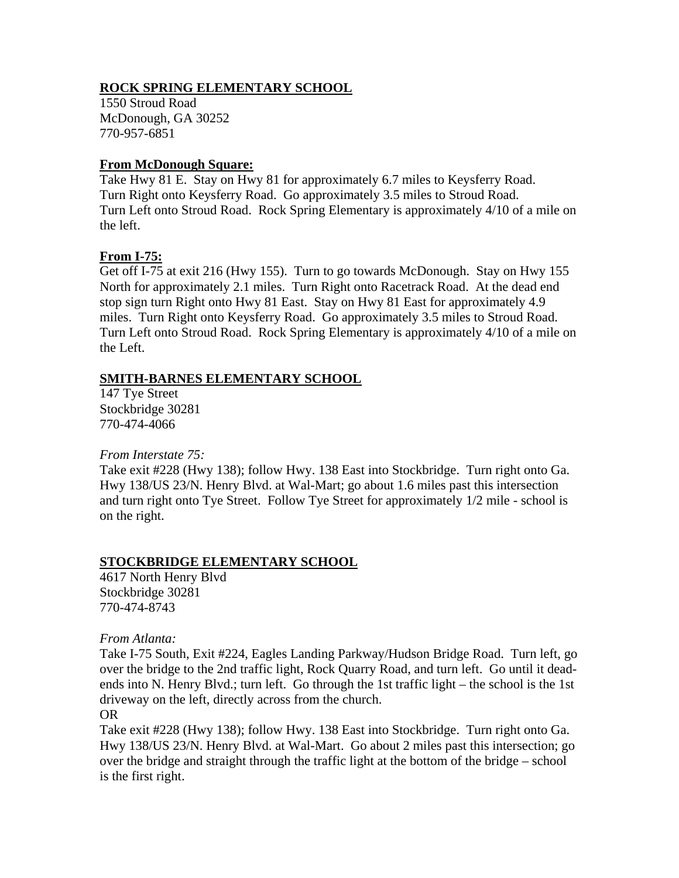## **ROCK SPRING ELEMENTARY SCHOOL**

1550 Stroud Road McDonough, GA 30252 770-957-6851

### **From McDonough Square:**

Take Hwy 81 E. Stay on Hwy 81 for approximately 6.7 miles to Keysferry Road. Turn Right onto Keysferry Road. Go approximately 3.5 miles to Stroud Road. Turn Left onto Stroud Road. Rock Spring Elementary is approximately 4/10 of a mile on the left.

## **From I-75:**

Get off I-75 at exit 216 (Hwy 155). Turn to go towards McDonough. Stay on Hwy 155 North for approximately 2.1 miles. Turn Right onto Racetrack Road. At the dead end stop sign turn Right onto Hwy 81 East. Stay on Hwy 81 East for approximately 4.9 miles. Turn Right onto Keysferry Road. Go approximately 3.5 miles to Stroud Road. Turn Left onto Stroud Road. Rock Spring Elementary is approximately 4/10 of a mile on the Left.

## **SMITH-BARNES ELEMENTARY SCHOOL**

147 Tye Street Stockbridge 30281 770-474-4066

*From Interstate 75:* 

Take exit #228 (Hwy 138); follow Hwy. 138 East into Stockbridge. Turn right onto Ga. Hwy 138/US 23/N. Henry Blvd. at Wal-Mart; go about 1.6 miles past this intersection and turn right onto Tye Street. Follow Tye Street for approximately 1/2 mile - school is on the right.

## **STOCKBRIDGE ELEMENTARY SCHOOL**

4617 North Henry Blvd Stockbridge 30281 770-474-8743

### *From Atlanta:*

Take I-75 South, Exit #224, Eagles Landing Parkway/Hudson Bridge Road. Turn left, go over the bridge to the 2nd traffic light, Rock Quarry Road, and turn left. Go until it deadends into N. Henry Blvd.; turn left. Go through the 1st traffic light – the school is the 1st driveway on the left, directly across from the church.

### OR

Take exit #228 (Hwy 138); follow Hwy. 138 East into Stockbridge. Turn right onto Ga. Hwy 138/US 23/N. Henry Blvd. at Wal-Mart. Go about 2 miles past this intersection; go over the bridge and straight through the traffic light at the bottom of the bridge – school is the first right.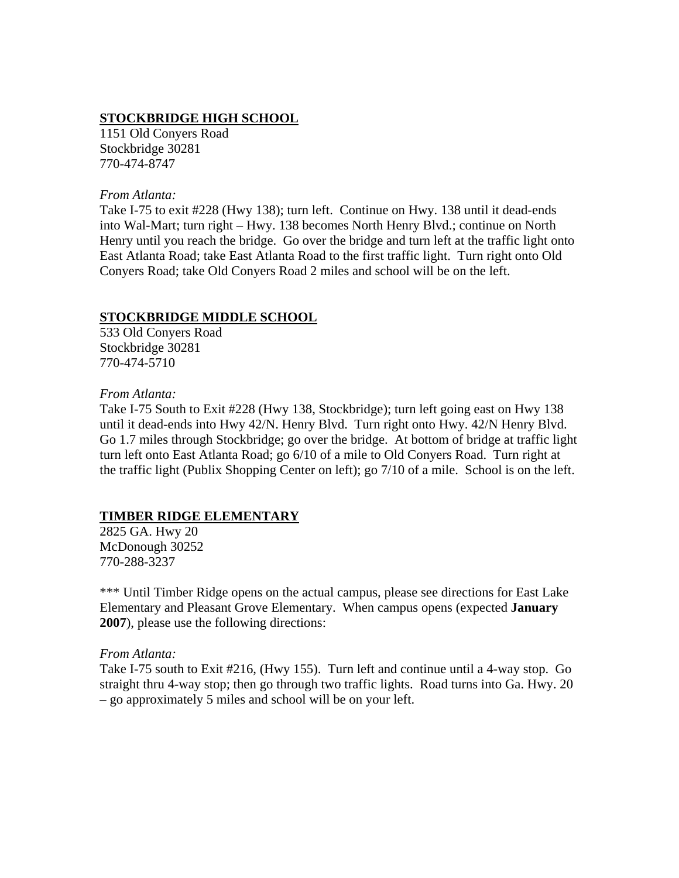### **STOCKBRIDGE HIGH SCHOOL**

1151 Old Conyers Road Stockbridge 30281 770-474-8747

#### *From Atlanta:*

Take I-75 to exit #228 (Hwy 138); turn left. Continue on Hwy. 138 until it dead-ends into Wal-Mart; turn right – Hwy. 138 becomes North Henry Blvd.; continue on North Henry until you reach the bridge. Go over the bridge and turn left at the traffic light onto East Atlanta Road; take East Atlanta Road to the first traffic light. Turn right onto Old Conyers Road; take Old Conyers Road 2 miles and school will be on the left.

### **STOCKBRIDGE MIDDLE SCHOOL**

533 Old Conyers Road Stockbridge 30281 770-474-5710

### *From Atlanta:*

Take I-75 South to Exit #228 (Hwy 138, Stockbridge); turn left going east on Hwy 138 until it dead-ends into Hwy 42/N. Henry Blvd. Turn right onto Hwy. 42/N Henry Blvd. Go 1.7 miles through Stockbridge; go over the bridge. At bottom of bridge at traffic light turn left onto East Atlanta Road; go 6/10 of a mile to Old Conyers Road. Turn right at the traffic light (Publix Shopping Center on left); go 7/10 of a mile. School is on the left.

## **TIMBER RIDGE ELEMENTARY**

2825 GA. Hwy 20 McDonough 30252 770-288-3237

\*\*\* Until Timber Ridge opens on the actual campus, please see directions for East Lake Elementary and Pleasant Grove Elementary. When campus opens (expected **January 2007**), please use the following directions:

#### *From Atlanta:*

Take I-75 south to Exit #216, (Hwy 155). Turn left and continue until a 4-way stop. Go straight thru 4-way stop; then go through two traffic lights. Road turns into Ga. Hwy. 20 – go approximately 5 miles and school will be on your left.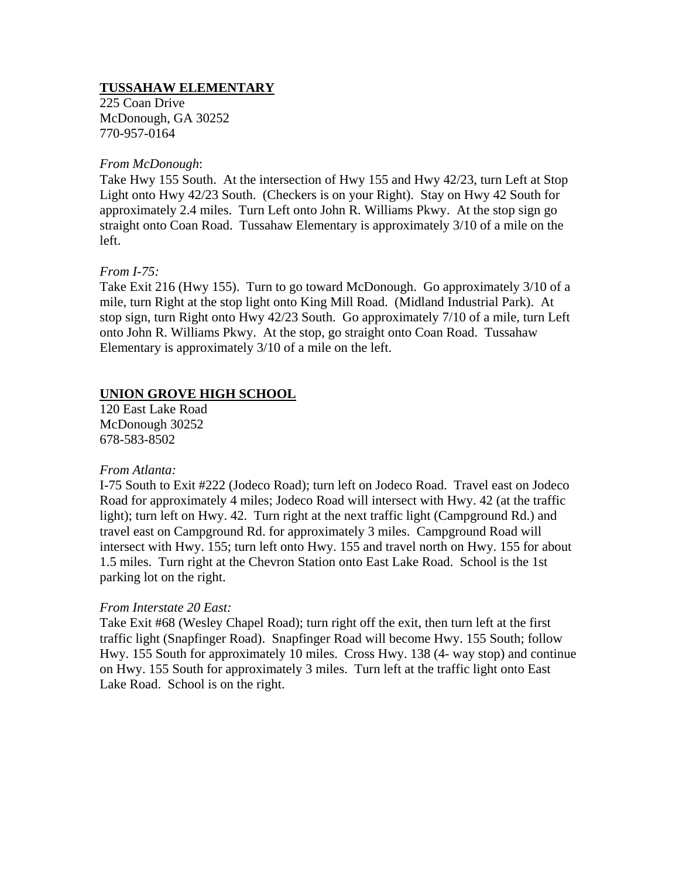## **TUSSAHAW ELEMENTARY**

225 Coan Drive McDonough, GA 30252 770-957-0164

#### *From McDonough*:

Take Hwy 155 South. At the intersection of Hwy 155 and Hwy 42/23, turn Left at Stop Light onto Hwy 42/23 South. (Checkers is on your Right). Stay on Hwy 42 South for approximately 2.4 miles. Turn Left onto John R. Williams Pkwy. At the stop sign go straight onto Coan Road. Tussahaw Elementary is approximately 3/10 of a mile on the left.

### *From I-75:*

Take Exit 216 (Hwy 155). Turn to go toward McDonough. Go approximately 3/10 of a mile, turn Right at the stop light onto King Mill Road. (Midland Industrial Park). At stop sign, turn Right onto Hwy 42/23 South. Go approximately 7/10 of a mile, turn Left onto John R. Williams Pkwy. At the stop, go straight onto Coan Road. Tussahaw Elementary is approximately 3/10 of a mile on the left.

### **UNION GROVE HIGH SCHOOL**

120 East Lake Road McDonough 30252 678-583-8502

### *From Atlanta:*

I-75 South to Exit #222 (Jodeco Road); turn left on Jodeco Road. Travel east on Jodeco Road for approximately 4 miles; Jodeco Road will intersect with Hwy. 42 (at the traffic light); turn left on Hwy. 42. Turn right at the next traffic light (Campground Rd.) and travel east on Campground Rd. for approximately 3 miles. Campground Road will intersect with Hwy. 155; turn left onto Hwy. 155 and travel north on Hwy. 155 for about 1.5 miles. Turn right at the Chevron Station onto East Lake Road. School is the 1st parking lot on the right.

### *From Interstate 20 East:*

Take Exit #68 (Wesley Chapel Road); turn right off the exit, then turn left at the first traffic light (Snapfinger Road). Snapfinger Road will become Hwy. 155 South; follow Hwy. 155 South for approximately 10 miles. Cross Hwy. 138 (4- way stop) and continue on Hwy. 155 South for approximately 3 miles. Turn left at the traffic light onto East Lake Road. School is on the right.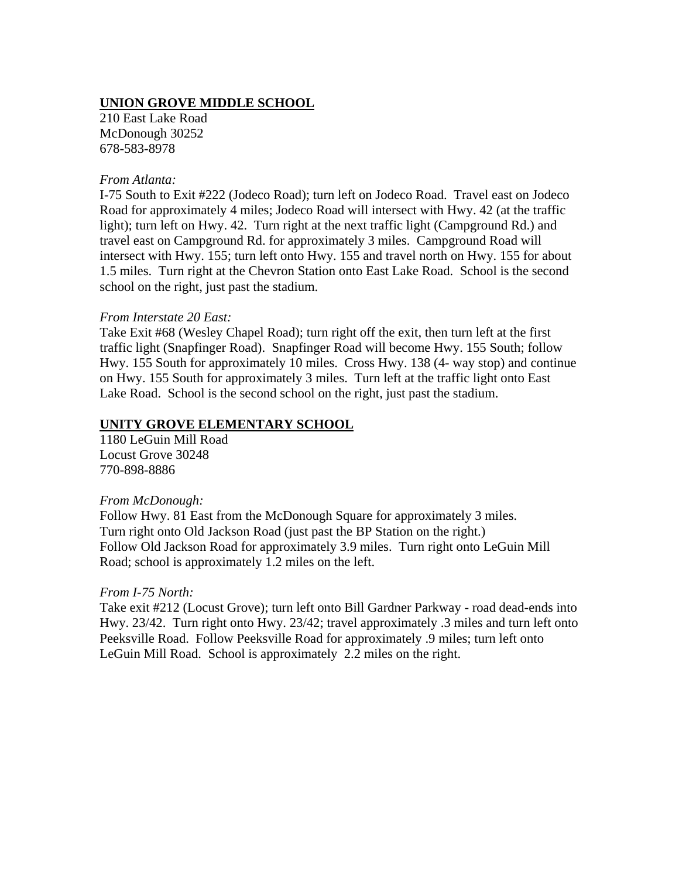### **UNION GROVE MIDDLE SCHOOL**

210 East Lake Road McDonough 30252 678-583-8978

#### *From Atlanta:*

I-75 South to Exit #222 (Jodeco Road); turn left on Jodeco Road. Travel east on Jodeco Road for approximately 4 miles; Jodeco Road will intersect with Hwy. 42 (at the traffic light); turn left on Hwy. 42. Turn right at the next traffic light (Campground Rd.) and travel east on Campground Rd. for approximately 3 miles. Campground Road will intersect with Hwy. 155; turn left onto Hwy. 155 and travel north on Hwy. 155 for about 1.5 miles. Turn right at the Chevron Station onto East Lake Road. School is the second school on the right, just past the stadium.

#### *From Interstate 20 East:*

Take Exit #68 (Wesley Chapel Road); turn right off the exit, then turn left at the first traffic light (Snapfinger Road). Snapfinger Road will become Hwy. 155 South; follow Hwy. 155 South for approximately 10 miles. Cross Hwy. 138 (4- way stop) and continue on Hwy. 155 South for approximately 3 miles. Turn left at the traffic light onto East Lake Road. School is the second school on the right, just past the stadium.

### **UNITY GROVE ELEMENTARY SCHOOL**

1180 LeGuin Mill Road Locust Grove 30248 770-898-8886

#### *From McDonough:*

Follow Hwy. 81 East from the McDonough Square for approximately 3 miles. Turn right onto Old Jackson Road (just past the BP Station on the right.) Follow Old Jackson Road for approximately 3.9 miles. Turn right onto LeGuin Mill Road; school is approximately 1.2 miles on the left.

### *From I-75 North:*

Take exit #212 (Locust Grove); turn left onto Bill Gardner Parkway - road dead-ends into Hwy. 23/42. Turn right onto Hwy. 23/42; travel approximately .3 miles and turn left onto Peeksville Road. Follow Peeksville Road for approximately .9 miles; turn left onto LeGuin Mill Road. School is approximately 2.2 miles on the right.